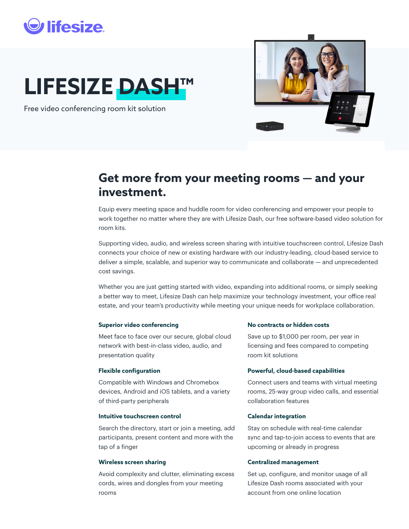## **lifesize**

# **LIFESIZE DASH™**

Free video conferencing room kit solution



## **Get more from your meeting rooms — and your investment.**

Equip every meeting space and huddle room for video conferencing and empower your people to work together no matter where they are with Lifesize Dash, our free software-based video solution for room kits.

Supporting video, audio, and wireless screen sharing with intuitive touchscreen control, Lifesize Dash connects your choice of new or existing hardware with our industry-leading, cloud-based service to deliver a simple, scalable, and superior way to communicate and collaborate — and unprecedented cost savings.

Whether you are just getting started with video, expanding into additional rooms, or simply seeking a better way to meet, Lifesize Dash can help maximize your technology investment, your office real estate, and your team's productivity while meeting your unique needs for workplace collaboration.

### **Superior video conferencing**

Meet face to face over our secure, global cloud network with best-in-class video, audio, and presentation quality

### **Flexible configuration**

Compatible with Windows and Chromebox devices, Android and iOS tablets, and a variety of third-party peripherals

#### **Intuitive touchscreen control**

Search the directory, start or join a meeting, add participants, present content and more with the tap of a finger

#### **Wireless screen sharing**

Avoid complexity and clutter, eliminating excess cords, wires and dongles from your meeting rooms

#### **No contracts or hidden costs**

Save up to \$1,000 per room, per year in licensing and fees compared to competing room kit solutions

#### **Powerful, cloud-based capabilities**

Connect users and teams with virtual meeting rooms, 25-way group video calls, and essential collaboration features

### **Calendar integration**

Stay on schedule with real-time calendar sync and tap-to-join access to events that are upcoming or already in progress

#### **Centralized management**

Set up, configure, and monitor usage of all Lifesize Dash rooms associated with your account from one online location